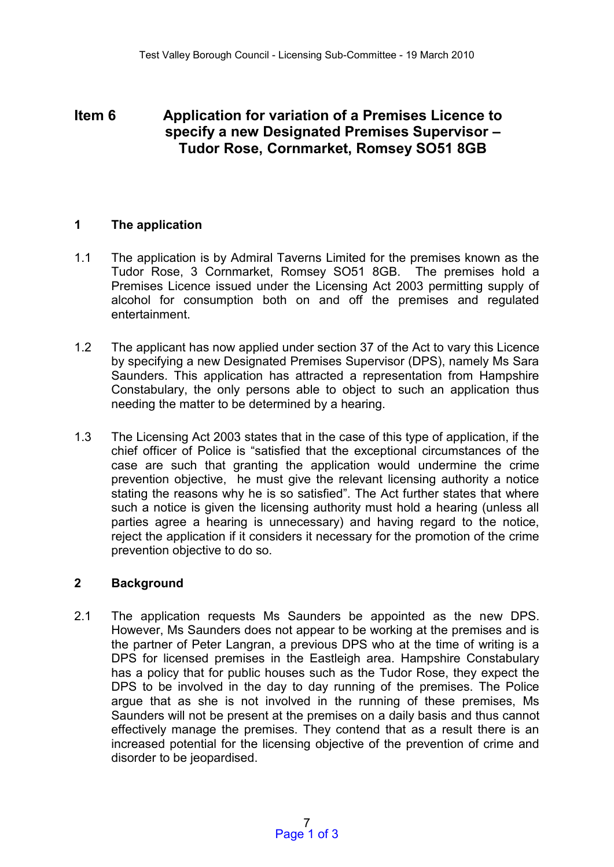# **Item 6 Application for variation of a Premises Licence to specify a new Designated Premises Supervisor – Tudor Rose, Cornmarket, Romsey SO51 8GB**

### **1 The application**

- 1.1 The application is by Admiral Taverns Limited for the premises known as the Tudor Rose, 3 Cornmarket, Romsey SO51 8GB. The premises hold a Premises Licence issued under the Licensing Act 2003 permitting supply of alcohol for consumption both on and off the premises and regulated entertainment.
- 1.2 The applicant has now applied under section 37 of the Act to vary this Licence by specifying a new Designated Premises Supervisor (DPS), namely Ms Sara Saunders. This application has attracted a representation from Hampshire Constabulary, the only persons able to object to such an application thus needing the matter to be determined by a hearing.
- 1.3 The Licensing Act 2003 states that in the case of this type of application, if the chief officer of Police is "satisfied that the exceptional circumstances of the case are such that granting the application would undermine the crime prevention objective, he must give the relevant licensing authority a notice stating the reasons why he is so satisfied". The Act further states that where such a notice is given the licensing authority must hold a hearing (unless all parties agree a hearing is unnecessary) and having regard to the notice, reject the application if it considers it necessary for the promotion of the crime prevention objective to do so.

# **2 Background**

2.1 The application requests Ms Saunders be appointed as the new DPS. However, Ms Saunders does not appear to be working at the premises and is the partner of Peter Langran, a previous DPS who at the time of writing is a DPS for licensed premises in the Eastleigh area. Hampshire Constabulary has a policy that for public houses such as the Tudor Rose, they expect the DPS to be involved in the day to day running of the premises. The Police argue that as she is not involved in the running of these premises, Ms Saunders will not be present at the premises on a daily basis and thus cannot effectively manage the premises. They contend that as a result there is an increased potential for the licensing objective of the prevention of crime and disorder to be jeopardised.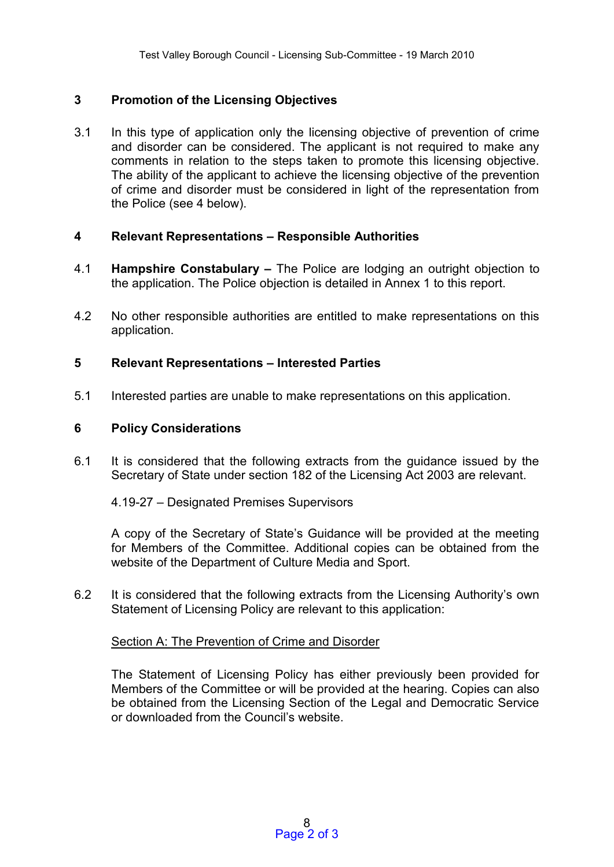# **3 Promotion of the Licensing Objectives**

3.1 In this type of application only the licensing objective of prevention of crime and disorder can be considered. The applicant is not required to make any comments in relation to the steps taken to promote this licensing objective. The ability of the applicant to achieve the licensing objective of the prevention of crime and disorder must be considered in light of the representation from the Police (see 4 below).

### **4 Relevant Representations – Responsible Authorities**

- 4.1 **Hampshire Constabulary –** The Police are lodging an outright objection to the application. The Police objection is detailed in Annex 1 to this report.
- 4.2 No other responsible authorities are entitled to make representations on this application.

### **5 Relevant Representations – Interested Parties**

5.1 Interested parties are unable to make representations on this application.

#### **6 Policy Considerations**

- 6.1 It is considered that the following extracts from the guidance issued by the Secretary of State under section 182 of the Licensing Act 2003 are relevant.
	- 4.19-27 Designated Premises Supervisors

A copy of the Secretary of State's Guidance will be provided at the meeting for Members of the Committee. Additional copies can be obtained from the website of the Department of Culture Media and Sport.

6.2 It is considered that the following extracts from the Licensing Authority's own Statement of Licensing Policy are relevant to this application:

#### Section A: The Prevention of Crime and Disorder

The Statement of Licensing Policy has either previously been provided for Members of the Committee or will be provided at the hearing. Copies can also be obtained from the Licensing Section of the Legal and Democratic Service or downloaded from the Council's website.